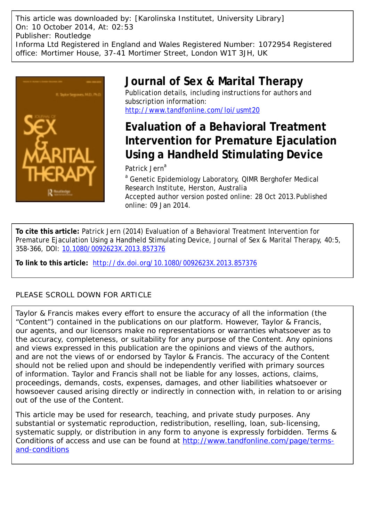This article was downloaded by: [Karolinska Institutet, University Library] On: 10 October 2014, At: 02:53 Publisher: Routledge Informa Ltd Registered in England and Wales Registered Number: 1072954 Registered office: Mortimer House, 37-41 Mortimer Street, London W1T 3JH, UK



# **Journal of Sex & Marital Therapy** Publication details, including instructions for authors and

subscription information: <http://www.tandfonline.com/loi/usmt20>

# **Evaluation of a Behavioral Treatment Intervention for Premature Ejaculation Using a Handheld Stimulating Device**

Patrick Jern<sup>a</sup>

<sup>a</sup> Genetic Epidemiology Laboratory, QIMR Berghofer Medical Research Institute, Herston, Australia Accepted author version posted online: 28 Oct 2013.Published online: 09 Jan 2014.

**To cite this article:** Patrick Jern (2014) Evaluation of a Behavioral Treatment Intervention for Premature Ejaculation Using a Handheld Stimulating Device, Journal of Sex & Marital Therapy, 40:5, 358-366, DOI: [10.1080/0092623X.2013.857376](http://www.tandfonline.com/action/showCitFormats?doi=10.1080/0092623X.2013.857376)

**To link to this article:** <http://dx.doi.org/10.1080/0092623X.2013.857376>

# PLEASE SCROLL DOWN FOR ARTICLE

Taylor & Francis makes every effort to ensure the accuracy of all the information (the "Content") contained in the publications on our platform. However, Taylor & Francis, our agents, and our licensors make no representations or warranties whatsoever as to the accuracy, completeness, or suitability for any purpose of the Content. Any opinions and views expressed in this publication are the opinions and views of the authors, and are not the views of or endorsed by Taylor & Francis. The accuracy of the Content should not be relied upon and should be independently verified with primary sources of information. Taylor and Francis shall not be liable for any losses, actions, claims, proceedings, demands, costs, expenses, damages, and other liabilities whatsoever or howsoever caused arising directly or indirectly in connection with, in relation to or arising out of the use of the Content.

This article may be used for research, teaching, and private study purposes. Any substantial or systematic reproduction, redistribution, reselling, loan, sub-licensing, systematic supply, or distribution in any form to anyone is expressly forbidden. Terms & Conditions of access and use can be found at [http://www.tandfonline.com/page/terms](http://www.tandfonline.com/page/terms-and-conditions)[and-conditions](http://www.tandfonline.com/page/terms-and-conditions)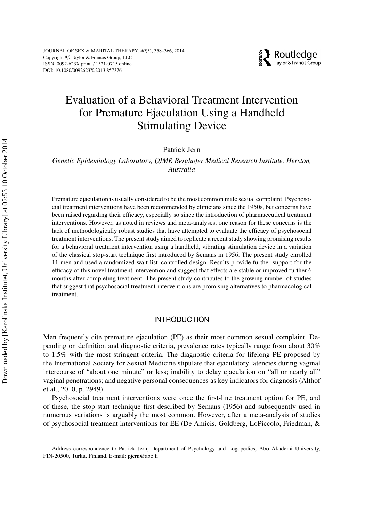

# Evaluation of a Behavioral Treatment Intervention for Premature Ejaculation Using a Handheld Stimulating Device

Patrick Jern

# *Genetic Epidemiology Laboratory, QIMR Berghofer Medical Research Institute, Herston, Australia*

Premature ejaculation is usually considered to be the most common male sexual complaint. Psychosocial treatment interventions have been recommended by clinicians since the 1950s, but concerns have been raised regarding their efficacy, especially so since the introduction of pharmaceutical treatment interventions. However, as noted in reviews and meta-analyses, one reason for these concerns is the lack of methodologically robust studies that have attempted to evaluate the efficacy of psychosocial treatment interventions. The present study aimed to replicate a recent study showing promising results for a behavioral treatment intervention using a handheld, vibrating stimulation device in a variation of the classical stop-start technique first introduced by Semans in 1956. The present study enrolled 11 men and used a randomized wait list–controlled design. Results provide further support for the efficacy of this novel treatment intervention and suggest that effects are stable or improved further 6 months after completing treatment. The present study contributes to the growing number of studies that suggest that psychosocial treatment interventions are promising alternatives to pharmacological treatment.

# INTRODUCTION

Men frequently cite premature ejaculation (PE) as their most common sexual complaint. Depending on definition and diagnostic criteria, prevalence rates typically range from about 30% to 1.5% with the most stringent criteria. The diagnostic criteria for lifelong PE proposed by the International Society for Sexual Medicine stipulate that ejaculatory latencies during vaginal intercourse of "about one minute" or less; inability to delay ejaculation on "all or nearly all" vaginal penetrations; and negative personal consequences as key indicators for diagnosis (Althof et al., 2010, p. 2949).

Psychosocial treatment interventions were once the first-line treatment option for PE, and of these, the stop-start technique first described by Semans (1956) and subsequently used in numerous variations is arguably the most common. However, after a meta-analysis of studies of psychosocial treatment interventions for EE (De Amicis, Goldberg, LoPiccolo, Friedman, &

Address correspondence to Patrick Jern, Department of Psychology and Logopedics, Abo Akademi University, FIN-20500, Turku, Finland. E-mail: pjern@abo.fi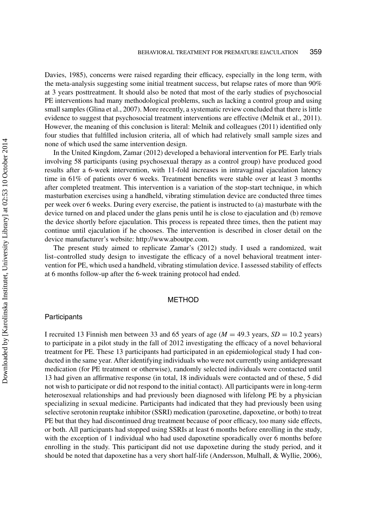Davies, 1985), concerns were raised regarding their efficacy, especially in the long term, with the meta-analysis suggesting some initial treatment success, but relapse rates of more than 90% at 3 years posttreatment. It should also be noted that most of the early studies of psychosocial PE interventions had many methodological problems, such as lacking a control group and using small samples (Glina et al., 2007). More recently, a systematic review concluded that there is little evidence to suggest that psychosocial treatment interventions are effective (Melnik et al., 2011). However, the meaning of this conclusion is literal: Melnik and colleagues (2011) identified only four studies that fulfilled inclusion criteria, all of which had relatively small sample sizes and none of which used the same intervention design.

In the United Kingdom, Zamar (2012) developed a behavioral intervention for PE. Early trials involving 58 participants (using psychosexual therapy as a control group) have produced good results after a 6-week intervention, with 11-fold increases in intravaginal ejaculation latency time in 61% of patients over 6 weeks. Treatment benefits were stable over at least 3 months after completed treatment. This intervention is a variation of the stop-start technique, in which masturbation exercises using a handheld, vibrating stimulation device are conducted three times per week over 6 weeks. During every exercise, the patient is instructed to (a) masturbate with the device turned on and placed under the glans penis until he is close to ejaculation and (b) remove the device shortly before ejaculation. This process is repeated three times, then the patient may continue until ejaculation if he chooses. The intervention is described in closer detail on the device manufacturer's website: http://www.aboutpe.com.

The present study aimed to replicate Zamar's (2012) study. I used a randomized, wait list–controlled study design to investigate the efficacy of a novel behavioral treatment intervention for PE, which used a handheld, vibrating stimulation device. I assessed stability of effects at 6 months follow-up after the 6-week training protocol had ended.

# METHOD

#### Participants

I recruited 13 Finnish men between 33 and 65 years of age  $(M = 49.3$  years,  $SD = 10.2$  years) to participate in a pilot study in the fall of 2012 investigating the efficacy of a novel behavioral treatment for PE. These 13 participants had participated in an epidemiological study I had conducted in the same year. After identifying individuals who were not currently using antidepressant medication (for PE treatment or otherwise), randomly selected individuals were contacted until 13 had given an affirmative response (in total, 18 individuals were contacted and of these, 5 did not wish to participate or did not respond to the initial contact). All participants were in long-term heterosexual relationships and had previously been diagnosed with lifelong PE by a physician specializing in sexual medicine. Participants had indicated that they had previously been using selective serotonin reuptake inhibitor (SSRI) medication (paroxetine, dapoxetine, or both) to treat PE but that they had discontinued drug treatment because of poor efficacy, too many side effects, or both. All participants had stopped using SSRIs at least 6 months before enrolling in the study, with the exception of 1 individual who had used dapoxetine sporadically over 6 months before enrolling in the study. This participant did not use dapoxetine during the study period, and it should be noted that dapoxetine has a very short half-life (Andersson, Mulhall, & Wyllie, 2006),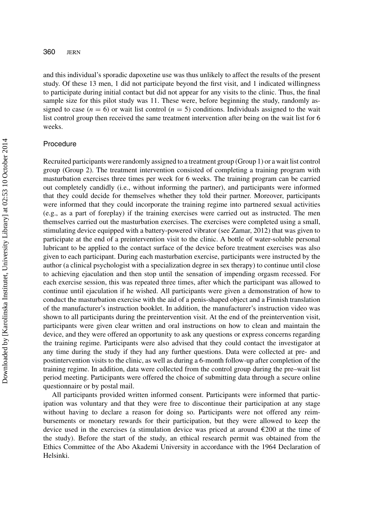### 360 JERN

and this individual's sporadic dapoxetine use was thus unlikely to affect the results of the present study. Of these 13 men, 1 did not participate beyond the first visit, and 1 indicated willingness to participate during initial contact but did not appear for any visits to the clinic. Thus, the final sample size for this pilot study was 11. These were, before beginning the study, randomly assigned to case  $(n = 6)$  or wait list control  $(n = 5)$  conditions. Individuals assigned to the wait list control group then received the same treatment intervention after being on the wait list for 6 weeks.

# Procedure

Recruited participants were randomly assigned to a treatment group (Group 1) or a wait list control group (Group 2). The treatment intervention consisted of completing a training program with masturbation exercises three times per week for 6 weeks. The training program can be carried out completely candidly (i.e., without informing the partner), and participants were informed that they could decide for themselves whether they told their partner. Moreover, participants were informed that they could incorporate the training regime into partnered sexual activities (e.g., as a part of foreplay) if the training exercises were carried out as instructed. The men themselves carried out the masturbation exercises. The exercises were completed using a small, stimulating device equipped with a battery-powered vibrator (see Zamar, 2012) that was given to participate at the end of a preintervention visit to the clinic. A bottle of water-soluble personal lubricant to be applied to the contact surface of the device before treatment exercises was also given to each participant. During each masturbation exercise, participants were instructed by the author (a clinical psychologist with a specialization degree in sex therapy) to continue until close to achieving ejaculation and then stop until the sensation of impending orgasm recessed. For each exercise session, this was repeated three times, after which the participant was allowed to continue until ejaculation if he wished. All participants were given a demonstration of how to conduct the masturbation exercise with the aid of a penis-shaped object and a Finnish translation of the manufacturer's instruction booklet. In addition, the manufacturer's instruction video was shown to all participants during the preintervention visit. At the end of the preintervention visit, participants were given clear written and oral instructions on how to clean and maintain the device, and they were offered an opportunity to ask any questions or express concerns regarding the training regime. Participants were also advised that they could contact the investigator at any time during the study if they had any further questions. Data were collected at pre- and postintervention visits to the clinic, as well as during a 6-month follow-up after completion of the training regime. In addition, data were collected from the control group during the pre–wait list period meeting. Participants were offered the choice of submitting data through a secure online questionnaire or by postal mail.

All participants provided written informed consent. Participants were informed that participation was voluntary and that they were free to discontinue their participation at any stage without having to declare a reason for doing so. Participants were not offered any reimbursements or monetary rewards for their participation, but they were allowed to keep the device used in the exercises (a stimulation device was priced at around  $\epsilon$ 200 at the time of the study). Before the start of the study, an ethical research permit was obtained from the Ethics Committee of the Abo Akademi University in accordance with the 1964 Declaration of Helsinki.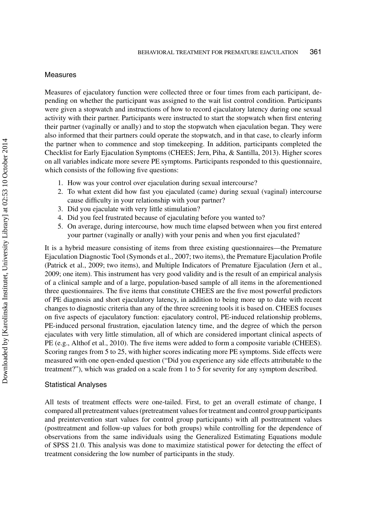# Measures

Measures of ejaculatory function were collected three or four times from each participant, depending on whether the participant was assigned to the wait list control condition. Participants were given a stopwatch and instructions of how to record ejaculatory latency during one sexual activity with their partner. Participants were instructed to start the stopwatch when first entering their partner (vaginally or anally) and to stop the stopwatch when ejaculation began. They were also informed that their partners could operate the stopwatch, and in that case, to clearly inform the partner when to commence and stop timekeeping. In addition, participants completed the Checklist for Early Ejaculation Symptoms (CHEES; Jern, Piha, & Santilla, 2013). Higher scores on all variables indicate more severe PE symptoms. Participants responded to this questionnaire, which consists of the following five questions:

- 1. How was your control over ejaculation during sexual intercourse?
- 2. To what extent did how fast you ejaculated (came) during sexual (vaginal) intercourse cause difficulty in your relationship with your partner?
- 3. Did you ejaculate with very little stimulation?
- 4. Did you feel frustrated because of ejaculating before you wanted to?
- 5. On average, during intercourse, how much time elapsed between when you first entered your partner (vaginally or anally) with your penis and when you first ejaculated?

It is a hybrid measure consisting of items from three existing questionnaires—the Premature Ejaculation Diagnostic Tool (Symonds et al., 2007; two items), the Premature Ejaculation Profile (Patrick et al., 2009; two items), and Multiple Indicators of Premature Ejaculation (Jern et al., 2009; one item). This instrument has very good validity and is the result of an empirical analysis of a clinical sample and of a large, population-based sample of all items in the aforementioned three questionnaires. The five items that constitute CHEES are the five most powerful predictors of PE diagnosis and short ejaculatory latency, in addition to being more up to date with recent changes to diagnostic criteria than any of the three screening tools it is based on. CHEES focuses on five aspects of ejaculatory function: ejaculatory control, PE-induced relationship problems, PE-induced personal frustration, ejaculation latency time, and the degree of which the person ejaculates with very little stimulation, all of which are considered important clinical aspects of PE (e.g., Althof et al., 2010). The five items were added to form a composite variable (CHEES). Scoring ranges from 5 to 25, with higher scores indicating more PE symptoms. Side effects were measured with one open-ended question ("Did you experience any side effects attributable to the treatment?"), which was graded on a scale from 1 to 5 for severity for any symptom described.

#### Statistical Analyses

All tests of treatment effects were one-tailed. First, to get an overall estimate of change, I compared all pretreatment values (pretreatment values for treatment and control group participants and preintervention start values for control group participants) with all posttreatment values (posttreatment and follow-up values for both groups) while controlling for the dependence of observations from the same individuals using the Generalized Estimating Equations module of SPSS 21.0. This analysis was done to maximize statistical power for detecting the effect of treatment considering the low number of participants in the study.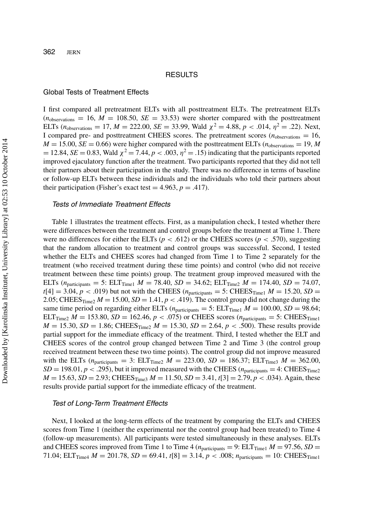### RESULTS

#### Global Tests of Treatment Effects

I first compared all pretreatment ELTs with all posttreatment ELTs. The pretreatment ELTs  $(n_{\text{observations}} = 16, M = 108.50, SE = 33.53)$  were shorter compared with the posttreatment ELTs ( $n_{\text{observations}} = 17$ ,  $M = 222.00$ ,  $SE = 33.99$ , Wald  $\chi^2 = 4.88$ ,  $p < .014$ ,  $\eta^2 = .22$ ). Next, I compared pre- and posttreatment CHEES scores. The pretreatment scores ( $n_{\text{observations}} = 16$ ,  $M = 15.00$ ,  $SE = 0.66$ ) were higher compared with the posttreatment ELTs ( $n_{\text{observations}} = 19$ , M  $= 12.84$ , *SE* = 0.83, Wald  $\chi^2 = 7.44$ ,  $p < .003$ ,  $\eta^2 = .15$ ) indicating that the participants reported improved ejaculatory function after the treatment. Two participants reported that they did not tell their partners about their participation in the study. There was no difference in terms of baseline or follow-up ELTs between these individuals and the individuals who told their partners about their participation (Fisher's exact test  $= 4.963, p = .417$ ).

#### *Tests of Immediate Treatment Effects*

Table 1 illustrates the treatment effects. First, as a manipulation check, I tested whether there were differences between the treatment and control groups before the treatment at Time 1. There were no differences for either the ELTs ( $p < .612$ ) or the CHEES scores ( $p < .570$ ), suggesting that the random allocation to treatment and control groups was successful. Second, I tested whether the ELTs and CHEES scores had changed from Time 1 to Time 2 separately for the treatment (who received treatment during these time points) and control (who did not receive treatment between these time points) group. The treatment group improved measured with the ELTs (*n*<sub>participants</sub> = 5: ELT<sub>Time1</sub>  $M = 78.40$ ,  $SD = 34.62$ ; ELT<sub>Time2</sub>  $M = 174.40$ ,  $SD = 74.07$ ,  $t[4] = 3.04, p < .019$ ) but not with the CHEES (*n*<sub>participants</sub> = 5: CHEES<sub>Time1</sub>  $M = 15.20, SD =$ 2.05; CHEES<sub>Time2</sub>  $M = 15.00$ ,  $SD = 1.41$ ,  $p < .419$ ). The control group did not change during the same time period on regarding either ELTs ( $n_{\text{participants}} = 5$ : ELT<sub>Time1</sub>  $M = 100.00$ ,  $SD = 98.64$ ;  $ELT_{Time2} M = 153.80, SD = 162.46, p < .075$  or CHEES scores ( $n_{participants} = 5$ : CHEES<sub>Time1</sub>  $M = 15.30, SD = 1.86$ ; CHEES<sub>Time2</sub>  $M = 15.30, SD = 2.64, p < .500$ ). These results provide partial support for the immediate efficacy of the treatment. Third, I tested whether the ELT and CHEES scores of the control group changed between Time 2 and Time 3 (the control group received treatment between these two time points). The control group did not improve measured with the ELTs ( $n_{\text{participants}} = 3$ : ELT<sub>Time2</sub>  $M = 223.00$ ,  $SD = 186.37$ ; ELT<sub>Time3</sub>  $M = 362.00$ ,  $SD = 198.01, p < .295$ ), but it improved measured with the CHEES ( $n_{\text{participants}} = 4$ : CHEES<sub>Time2</sub>  $M = 15.63$ ,  $SD = 2.93$ ; CHEES<sub>Time3</sub>  $M = 11.50$ ,  $SD = 3.41$ ,  $t[3] = 2.79$ ,  $p < .034$ ). Again, these results provide partial support for the immediate efficacy of the treatment.

#### *Test of Long-Term Treatment Effects*

Next, I looked at the long-term effects of the treatment by comparing the ELTs and CHEES scores from Time 1 (neither the experimental nor the control group had been treated) to Time 4 (follow-up measurements). All participants were tested simultaneously in these analyses. ELTs and CHEES scores improved from Time 1 to Time 4 ( $n_{\text{participants}} = 9$ : ELT<sub>Time1</sub>  $M = 97.56$ ,  $SD =$ 71.04; ELT<sub>Time4</sub>  $M = 201.78$ ,  $SD = 69.41$ ,  $t[8] = 3.14$ ,  $p < .008$ ;  $n_{\text{participants}} = 10$ : CHEES<sub>Time1</sub>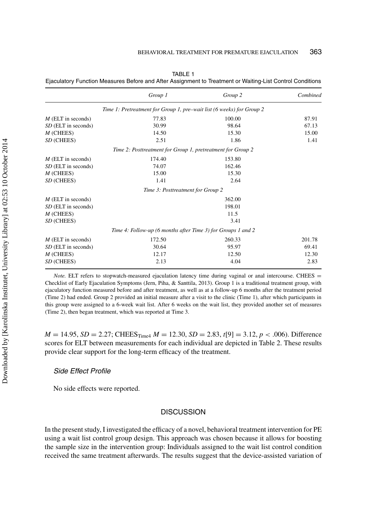| Laculatury Function Measures Denote and Alter Assignment to Treatment or Walting-List Control Conditions |                                                                       |         |          |  |  |
|----------------------------------------------------------------------------------------------------------|-----------------------------------------------------------------------|---------|----------|--|--|
|                                                                                                          | Group 1                                                               | Group 2 | Combined |  |  |
|                                                                                                          | Time 1: Pretreatment for Group 1, pre–wait list (6 weeks) for Group 2 |         |          |  |  |
| $M$ (ELT in seconds)                                                                                     | 77.83                                                                 | 100.00  | 87.91    |  |  |
| SD (ELT in seconds)                                                                                      | 30.99                                                                 | 98.64   | 67.13    |  |  |
| M (CHEES)                                                                                                | 14.50                                                                 | 15.30   | 15.00    |  |  |
| SD (CHEES)                                                                                               | 2.51                                                                  | 1.86    | 1.41     |  |  |
|                                                                                                          | Time 2: Posttreatment for Group 1, pretreatment for Group 2           |         |          |  |  |
| $M$ (ELT in seconds)                                                                                     | 174.40                                                                | 153.80  |          |  |  |
| SD (ELT in seconds)                                                                                      | 74.07                                                                 | 162.46  |          |  |  |
| M (CHEES)                                                                                                | 15.00                                                                 | 15.30   |          |  |  |
| SD (CHEES)                                                                                               | 1.41                                                                  | 2.64    |          |  |  |
|                                                                                                          | Time 3: Posttreatment for Group 2                                     |         |          |  |  |
| $M$ (ELT in seconds)                                                                                     |                                                                       | 362.00  |          |  |  |
| SD (ELT in seconds)                                                                                      |                                                                       | 198.01  |          |  |  |
| M (CHEES)                                                                                                |                                                                       | 11.5    |          |  |  |
| SD (CHEES)                                                                                               |                                                                       | 3.41    |          |  |  |
|                                                                                                          | Time 4: Follow-up (6 months after Time 3) for Groups 1 and 2          |         |          |  |  |
| $M$ (ELT in seconds)                                                                                     | 172.50                                                                | 260.33  | 201.78   |  |  |
| SD (ELT in seconds)                                                                                      | 30.64                                                                 | 95.97   | 69.41    |  |  |
| M (CHEES)                                                                                                | 12.17                                                                 | 12.50   | 12.30    |  |  |
| SD (CHEES)                                                                                               | 2.13                                                                  | 4.04    | 2.83     |  |  |
|                                                                                                          |                                                                       |         |          |  |  |

TABLE 1 Ejaculatory Function Measures Before and After Assignment to Treatment or Waiting-List Control Conditions

*Note.* ELT refers to stopwatch-measured ejaculation latency time during vaginal or anal intercourse. CHEES = Checklist of Early Ejaculation Symptoms (Jern, Piha, & Santtila, 2013). Group 1 is a traditional treatment group, with ejaculatory function measured before and after treatment, as well as at a follow-up 6 months after the treatment period (Time 2) had ended. Group 2 provided an initial measure after a visit to the clinic (Time 1), after which participants in this group were assigned to a 6-week wait list. After 6 weeks on the wait list, they provided another set of measures (Time 2), then began treatment, which was reported at Time 3.

 $M = 14.95$ ,  $SD = 2.27$ ; CHEES<sub>Time4</sub>  $M = 12.30$ ,  $SD = 2.83$ ,  $t[9] = 3.12$ ,  $p < .006$ ). Difference scores for ELT between measurements for each individual are depicted in Table 2. These results provide clear support for the long-term efficacy of the treatment.

# *Side Effect Profile*

No side effects were reported.

# **DISCUSSION**

In the present study, I investigated the efficacy of a novel, behavioral treatment intervention for PE using a wait list control group design. This approach was chosen because it allows for boosting the sample size in the intervention group: Individuals assigned to the wait list control condition received the same treatment afterwards. The results suggest that the device-assisted variation of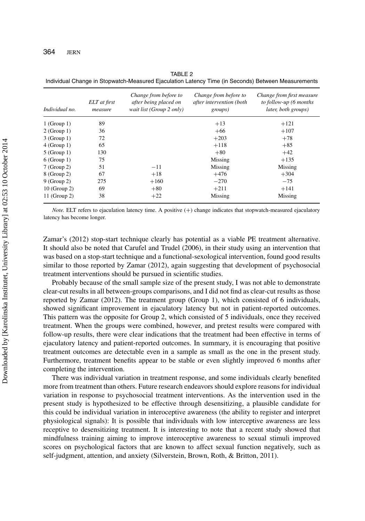| Individual no. | ELT at first<br>measure | Change from before to<br>after being placed on<br>wait list (Group 2 only) | Change from before to<br>after intervention (both<br>groups) | Change from first measure<br>to follow-up (6 months<br>later, both groups) |
|----------------|-------------------------|----------------------------------------------------------------------------|--------------------------------------------------------------|----------------------------------------------------------------------------|
| $1$ (Group 1)  | 89                      |                                                                            | $+13$                                                        | $+121$                                                                     |
| $2$ (Group 1)  | 36                      |                                                                            | $+66$                                                        | $+107$                                                                     |
| $3$ (Group 1)  | 72                      |                                                                            | $+203$                                                       | $+78$                                                                      |
| $4$ (Group 1)  | 65                      |                                                                            | $+118$                                                       | $+85$                                                                      |
| $5$ (Group 1)  | 130                     |                                                                            | $+80$                                                        | $+42$                                                                      |
| $6$ (Group 1)  | 75                      |                                                                            | Missing                                                      | $+135$                                                                     |
| $7$ (Group 2)  | 51                      | $-11$                                                                      | Missing                                                      | Missing                                                                    |
| $8$ (Group 2)  | 67                      | $+18$                                                                      | $+476$                                                       | $+304$                                                                     |
| $9$ (Group 2)  | 275                     | $+160$                                                                     | $-270$                                                       | $-75$                                                                      |
| $10$ (Group 2) | 69                      | $+80$                                                                      | $+211$                                                       | $+141$                                                                     |
| 11 (Group 2)   | 38                      | $+22$                                                                      | Missing                                                      | Missing                                                                    |

TABLE 2 Individual Change in Stopwatch-Measured Ejaculation Latency Time (in Seconds) Between Measurements

*Note.* ELT refers to ejaculation latency time. A positive  $(+)$  change indicates that stopwatch-measured ejaculatory latency has become longer.

Zamar's (2012) stop-start technique clearly has potential as a viable PE treatment alternative. It should also be noted that Carufel and Trudel (2006), in their study using an intervention that was based on a stop-start technique and a functional-sexological intervention, found good results similar to those reported by Zamar (2012), again suggesting that development of psychosocial treatment interventions should be pursued in scientific studies.

Probably because of the small sample size of the present study, I was not able to demonstrate clear-cut results in all between-groups comparisons, and I did not find as clear-cut results as those reported by Zamar (2012). The treatment group (Group 1), which consisted of 6 individuals, showed significant improvement in ejaculatory latency but not in patient-reported outcomes. This pattern was the opposite for Group 2, which consisted of 5 individuals, once they received treatment. When the groups were combined, however, and pretest results were compared with follow-up results, there were clear indications that the treatment had been effective in terms of ejaculatory latency and patient-reported outcomes. In summary, it is encouraging that positive treatment outcomes are detectable even in a sample as small as the one in the present study. Furthermore, treatment benefits appear to be stable or even slightly improved 6 months after completing the intervention.

There was individual variation in treatment response, and some individuals clearly benefited more from treatment than others. Future research endeavors should explore reasons for individual variation in response to psychosocial treatment interventions. As the intervention used in the present study is hypothesized to be effective through desensitizing, a plausible candidate for this could be individual variation in interoceptive awareness (the ability to register and interpret physiological signals): It is possible that individuals with low interceptive awareness are less receptive to desensitizing treatment. It is interesting to note that a recent study showed that mindfulness training aiming to improve interoceptive awareness to sexual stimuli improved scores on psychological factors that are known to affect sexual function negatively, such as self-judgment, attention, and anxiety (Silverstein, Brown, Roth, & Britton, 2011).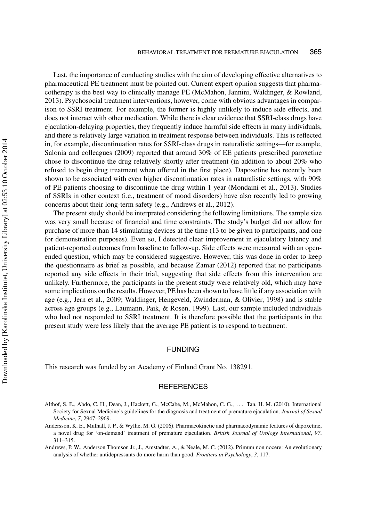Last, the importance of conducting studies with the aim of developing effective alternatives to pharmaceutical PE treatment must be pointed out. Current expert opinion suggests that pharmacotherapy is the best way to clinically manage PE (McMahon, Jannini, Waldinger, & Rowland, 2013). Psychosocial treatment interventions, however, come with obvious advantages in comparison to SSRI treatment. For example, the former is highly unlikely to induce side effects, and does not interact with other medication. While there is clear evidence that SSRI-class drugs have ejaculation-delaying properties, they frequently induce harmful side effects in many individuals, and there is relatively large variation in treatment response between individuals. This is reflected in, for example, discontinuation rates for SSRI-class drugs in naturalistic settings—for example, Salonia and colleagues (2009) reported that around 30% of EE patients prescribed paroxetine chose to discontinue the drug relatively shortly after treatment (in addition to about 20% who refused to begin drug treatment when offered in the first place). Dapoxetine has recently been shown to be associated with even higher discontinuation rates in naturalistic settings, with 90% of PE patients choosing to discontinue the drug within 1 year (Mondaini et al., 2013). Studies of SSRIs in other context (i.e., treatment of mood disorders) have also recently led to growing concerns about their long-term safety (e.g., Andrews et al., 2012).

The present study should be interpreted considering the following limitations. The sample size was very small because of financial and time constraints. The study's budget did not allow for purchase of more than 14 stimulating devices at the time (13 to be given to participants, and one for demonstration purposes). Even so, I detected clear improvement in ejaculatory latency and patient-reported outcomes from baseline to follow-up. Side effects were measured with an openended question, which may be considered suggestive. However, this was done in order to keep the questionnaire as brief as possible, and because Zamar (2012) reported that no participants reported any side effects in their trial, suggesting that side effects from this intervention are unlikely. Furthermore, the participants in the present study were relatively old, which may have some implications on the results. However, PE has been shown to have little if any association with age (e.g., Jern et al., 2009; Waldinger, Hengeveld, Zwinderman, & Olivier, 1998) and is stable across age groups (e.g., Laumann, Paik, & Rosen, 1999). Last, our sample included individuals who had not responded to SSRI treatment. It is therefore possible that the participants in the present study were less likely than the average PE patient is to respond to treatment.

# FUNDING

This research was funded by an Academy of Finland Grant No. 138291.

# **REFERENCES**

- Althof, S. E., Abdo, C. H., Dean, J., Hackett, G., McCabe, M., McMahon, C. G., . . . Tan, H. M. (2010). International Society for Sexual Medicine's guidelines for the diagnosis and treatment of premature ejaculation. *Journal of Sexual Medicine*, *7*, 2947–2969.
- Andersson, K. E., Mulhall, J. P., & Wyllie, M. G. (2006). Pharmacokinetic and pharmacodynamic features of dapoxetine, a novel drug for 'on-demand' treatment of premature ejaculation. *British Journal of Urology International*, *97*, 311–315.

Andrews, P. W., Anderson Thomson Jr., J., Amstadter, A., & Neale, M. C. (2012). Primum non nocere: An evolutionary analysis of whether antidepressants do more harm than good. *Frontiers in Psychology*, *3*, 117.